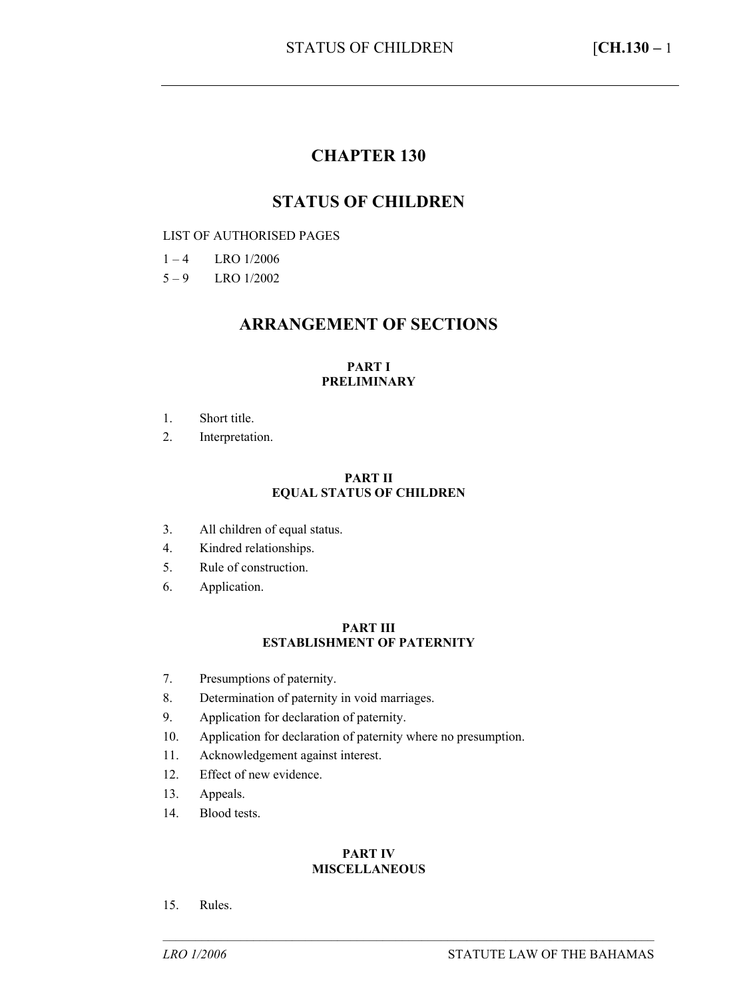## **CHAPTER 130**

### **STATUS OF CHILDREN**

#### LIST OF AUTHORISED PAGES

- $1 4$  LRO  $1/2006$
- $5 9$  LRO 1/2002

### **ARRANGEMENT OF SECTIONS**

#### **PART I PRELIMINARY**

- 1. Short title.
- 2. Interpretation.

#### **PART II EQUAL STATUS OF CHILDREN**

- 3. All children of equal status.
- 4. Kindred relationships.
- 5. Rule of construction.
- 6. Application.

#### **PART III ESTABLISHMENT OF PATERNITY**

- 7. Presumptions of paternity.
- 8. Determination of paternity in void marriages.
- 9. Application for declaration of paternity.
- 10. Application for declaration of paternity where no presumption.
- 11. Acknowledgement against interest.
- 12. Effect of new evidence.
- 13. Appeals.
- 14. Blood tests.

#### **PART IV MISCELLANEOUS**

––––––––––––––––––––––––––––––––––––––––––––––––––––––––––––––––––––––––––––

15. Rules.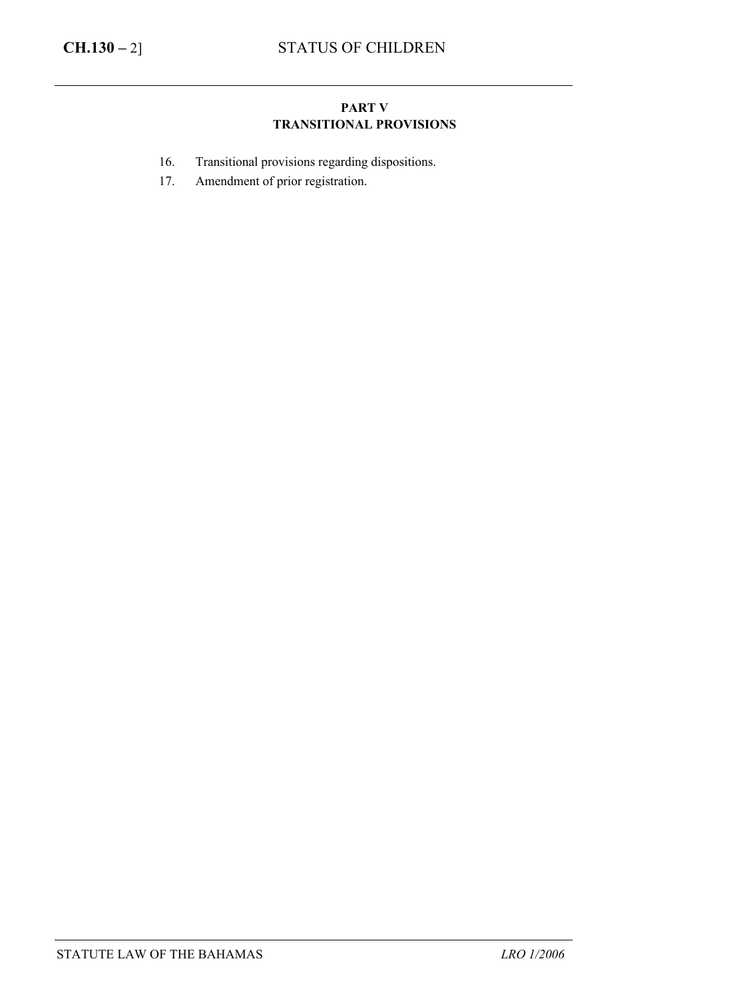### **PART V TRANSITIONAL PROVISIONS**

- 16. Transitional provisions regarding dispositions.
- 17. Amendment of prior registration.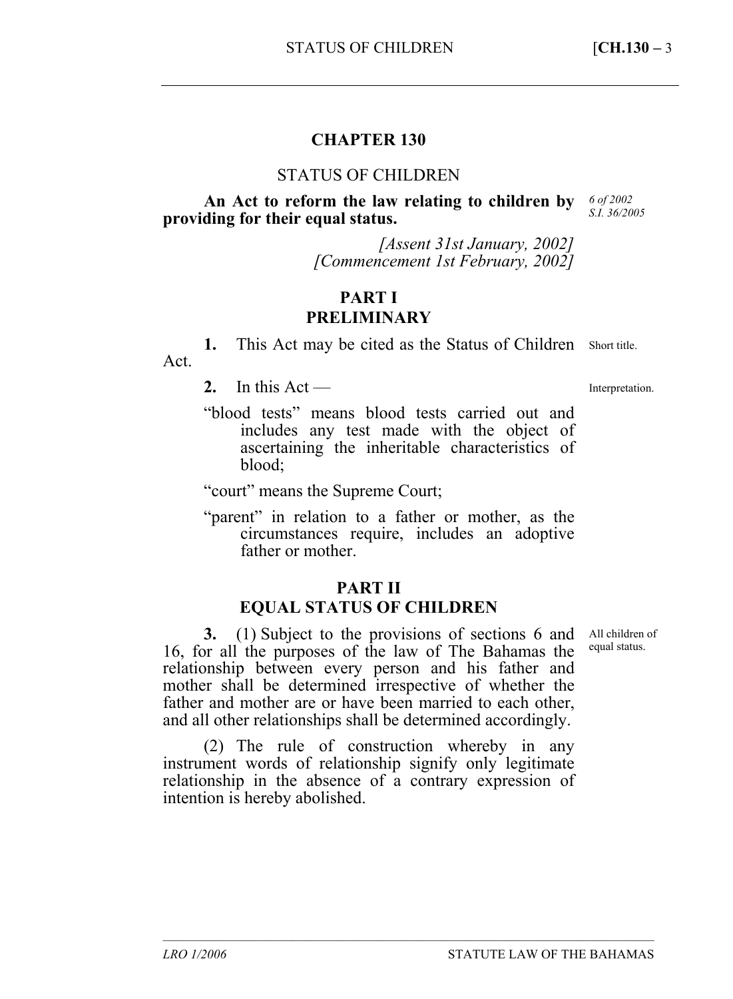## **CHAPTER 130**

#### STATUS OF CHILDREN

**An Act to reform the law relating to children by**  *6 of 2002*  **providing for their equal status.** 

*S.I. 36/2005* 

*[Assent 31st January, 2002] [Commencement 1st February, 2002]* 

## **PART I PRELIMINARY**

1. This Act may be cited as the Status of Children Short title. Act.

2. In this  $Act$  —

Interpretation.

"blood tests" means blood tests carried out and includes any test made with the object of ascertaining the inheritable characteristics of blood;

"court" means the Supreme Court;

"parent" in relation to a father or mother, as the circumstances require, includes an adoptive father or mother.

## **PART II**

## **EQUAL STATUS OF CHILDREN**

**3.** (1) Subject to the provisions of sections 6 and 16, for all the purposes of the law of The Bahamas the relationship between every person and his father and mother shall be determined irrespective of whether the father and mother are or have been married to each other, and all other relationships shall be determined accordingly.

(2) The rule of construction whereby in any instrument words of relationship signify only legitimate relationship in the absence of a contrary expression of intention is hereby abolished.

––––––––––––––––––––––––––––––––––––––––––––––––––––––––––––––––––––––––––––

All children of equal status.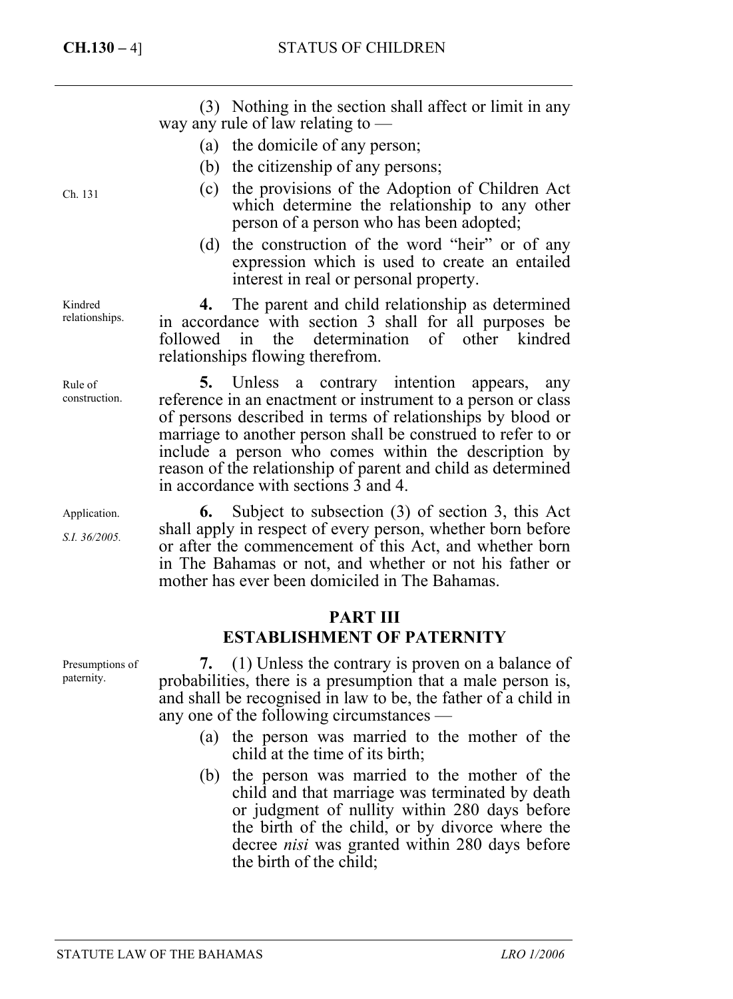(3) Nothing in the section shall affect or limit in any way any rule of law relating to —

- (a) the domicile of any person;
- (b) the citizenship of any persons;
- (c) the provisions of the Adoption of Children Act which determine the relationship to any other person of a person who has been adopted;
- (d) the construction of the word "heir" or of any expression which is used to create an entailed interest in real or personal property.

**4.** The parent and child relationship as determined in accordance with section 3 shall for all purposes be followed in the determination of other kindred relationships flowing therefrom.

**5.** Unless a contrary intention appears, any reference in an enactment or instrument to a person or class of persons described in terms of relationships by blood or marriage to another person shall be construed to refer to or include a person who comes within the description by reason of the relationship of parent and child as determined in accordance with sections 3 and 4.

**6.** Subject to subsection (3) of section 3, this Act shall apply in respect of every person, whether born before or after the commencement of this Act, and whether born in The Bahamas or not, and whether or not his father or mother has ever been domiciled in The Bahamas.

## **PART III**

## **ESTABLISHMENT OF PATERNITY**

**7.** (1) Unless the contrary is proven on a balance of probabilities, there is a presumption that a male person is, and shall be recognised in law to be, the father of a child in any one of the following circumstances —

- (a) the person was married to the mother of the child at the time of its birth;
- (b) the person was married to the mother of the child and that marriage was terminated by death or judgment of nullity within 280 days before the birth of the child, or by divorce where the decree *nisi* was granted within 280 days before the birth of the child;

Ch. 131

Kindred relationships.

Rule of construction.

Application.

*S.I. 36/2005.* 

Presumptions of paternity.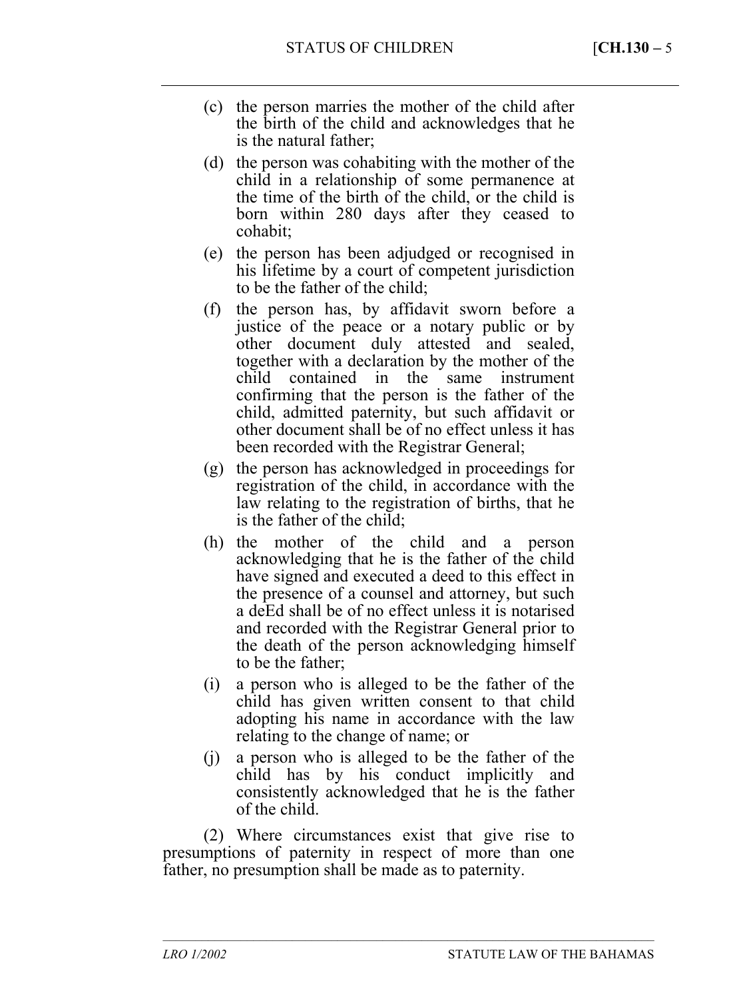- (c) the person marries the mother of the child after the birth of the child and acknowledges that he is the natural father;
- (d) the person was cohabiting with the mother of the child in a relationship of some permanence at the time of the birth of the child, or the child is born within 280 days after they ceased to cohabit;
- (e) the person has been adjudged or recognised in his lifetime by a court of competent jurisdiction to be the father of the child;
- (f) the person has, by affidavit sworn before a justice of the peace or a notary public or by other document duly attested and sealed, together with a declaration by the mother of the child contained in the same instrument confirming that the person is the father of the child, admitted paternity, but such affidavit or other document shall be of no effect unless it has been recorded with the Registrar General;
- (g) the person has acknowledged in proceedings for registration of the child, in accordance with the law relating to the registration of births, that he is the father of the child;
- (h) the mother of the child and a person acknowledging that he is the father of the child have signed and executed a deed to this effect in the presence of a counsel and attorney, but such a deEd shall be of no effect unless it is notarised and recorded with the Registrar General prior to the death of the person acknowledging himself to be the father;
- (i) a person who is alleged to be the father of the child has given written consent to that child adopting his name in accordance with the law relating to the change of name; or
- (j) a person who is alleged to be the father of the child has by his conduct implicitly and consistently acknowledged that he is the father of the child.

(2) Where circumstances exist that give rise to presumptions of paternity in respect of more than one father, no presumption shall be made as to paternity.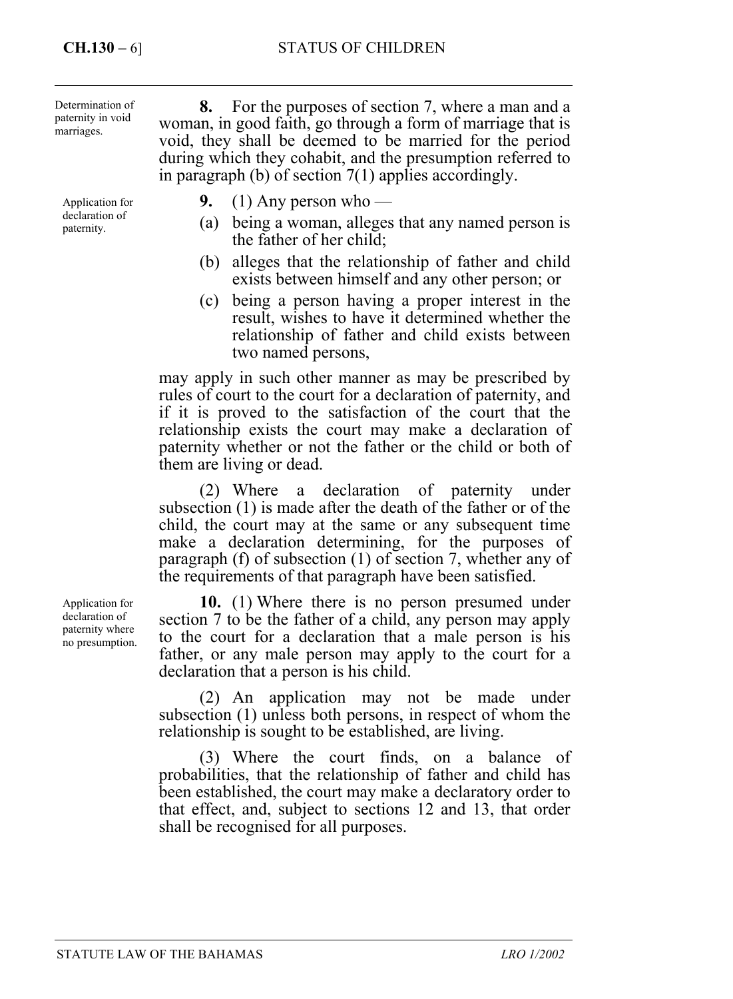Determination of paternity in void marriages.

Application for declaration of paternity.

**8.** For the purposes of section 7, where a man and a woman, in good faith, go through a form of marriage that is void, they shall be deemed to be married for the period during which they cohabit, and the presumption referred to in paragraph (b) of section 7(1) applies accordingly.

- **9.** (1) Any person who
	- (a) being a woman, alleges that any named person is the father of her child;
	- (b) alleges that the relationship of father and child exists between himself and any other person; or
- (c) being a person having a proper interest in the result, wishes to have it determined whether the relationship of father and child exists between two named persons,

may apply in such other manner as may be prescribed by rules of court to the court for a declaration of paternity, and if it is proved to the satisfaction of the court that the relationship exists the court may make a declaration of paternity whether or not the father or the child or both of them are living or dead.

(2) Where a declaration of paternity under subsection (1) is made after the death of the father or of the child, the court may at the same or any subsequent time make a declaration determining, for the purposes of paragraph (f) of subsection (1) of section 7, whether any of the requirements of that paragraph have been satisfied.

**10.** (1) Where there is no person presumed under section 7 to be the father of a child, any person may apply to the court for a declaration that a male person is his father, or any male person may apply to the court for a declaration that a person is his child.

(2) An application may not be made under subsection (1) unless both persons, in respect of whom the relationship is sought to be established, are living.

(3) Where the court finds, on a balance of probabilities, that the relationship of father and child has been established, the court may make a declaratory order to that effect, and, subject to sections 12 and 13, that order shall be recognised for all purposes.

Application for declaration of paternity where no presumption.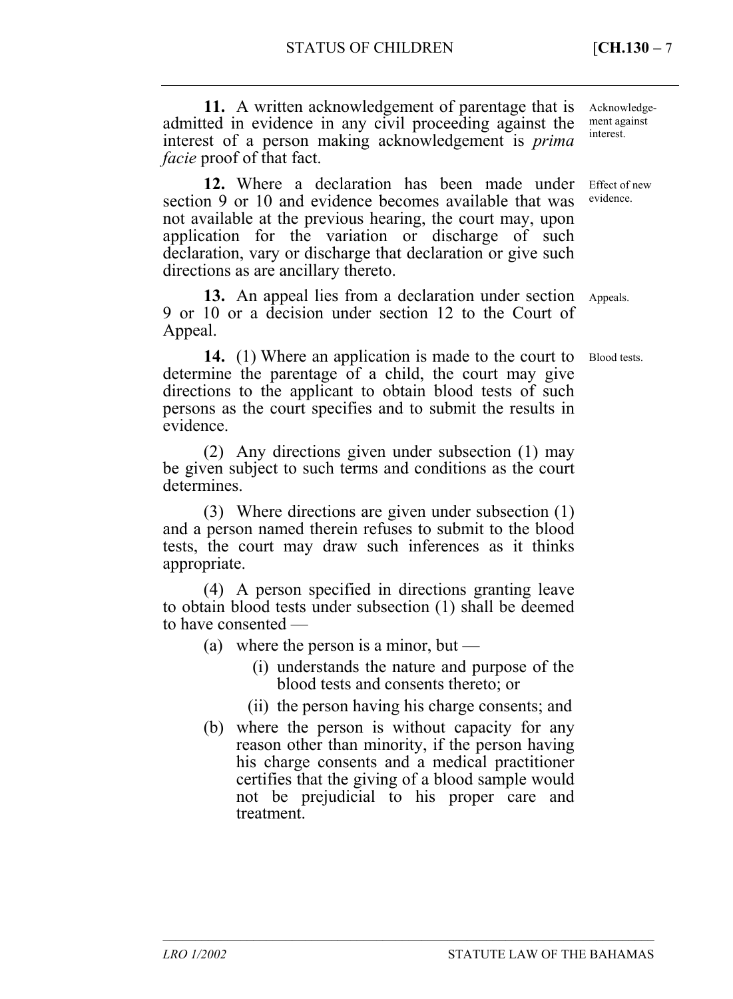**11.** A written acknowledgement of parentage that is admitted in evidence in any civil proceeding against the interest of a person making acknowledgement is *prima facie* proof of that fact.

**12.** Where a declaration has been made under section 9 or 10 and evidence becomes available that was not available at the previous hearing, the court may, upon application for the variation or discharge of such declaration, vary or discharge that declaration or give such directions as are ancillary thereto.

13. An appeal lies from a declaration under section Appeals. 9 or 10 or a decision under section 12 to the Court of Appeal.

**14.** (1) Where an application is made to the court to determine the parentage of a child, the court may give directions to the applicant to obtain blood tests of such persons as the court specifies and to submit the results in evidence. Blood tests.

(2) Any directions given under subsection (1) may be given subject to such terms and conditions as the court determines.

(3) Where directions are given under subsection (1) and a person named therein refuses to submit to the blood tests, the court may draw such inferences as it thinks appropriate.

(4) A person specified in directions granting leave to obtain blood tests under subsection (1) shall be deemed to have consented —

- (a) where the person is a minor, but
	- (i) understands the nature and purpose of the blood tests and consents thereto; or
	- (ii) the person having his charge consents; and

––––––––––––––––––––––––––––––––––––––––––––––––––––––––––––––––––––––––––––

(b) where the person is without capacity for any reason other than minority, if the person having his charge consents and a medical practitioner certifies that the giving of a blood sample would not be prejudicial to his proper care and treatment.

Acknowledgement against interest.

Effect of new evidence.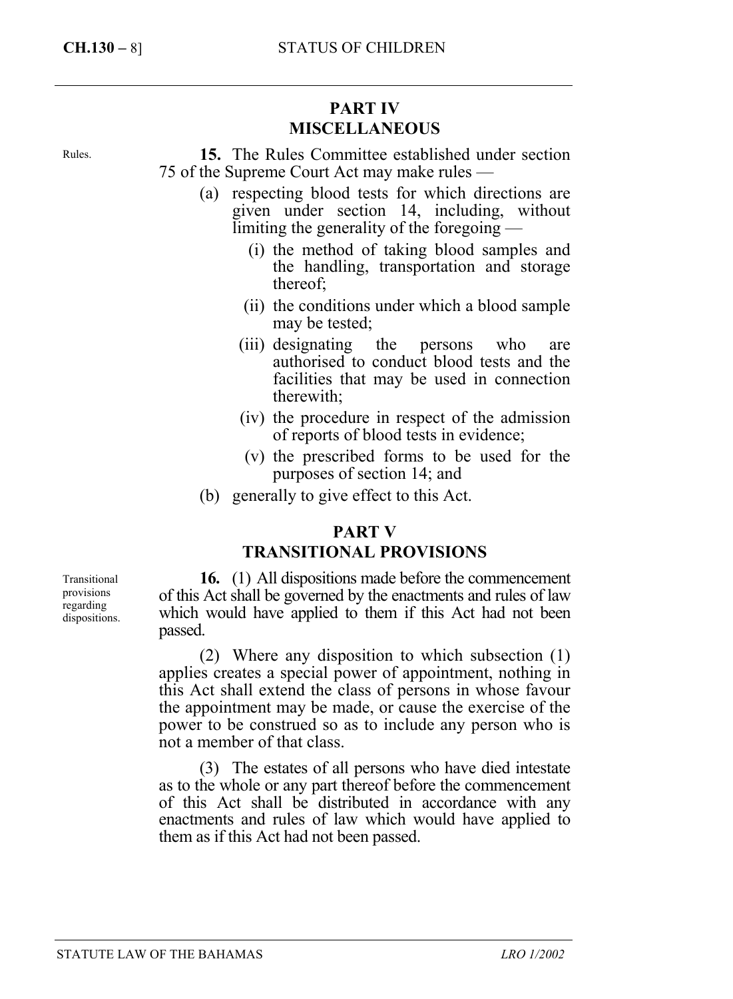# **PART IV MISCELLANEOUS**

Rules.

**15.** The Rules Committee established under section 75 of the Supreme Court Act may make rules —

- (a) respecting blood tests for which directions are given under section 14, including, without limiting the generality of the foregoing —
	- (i) the method of taking blood samples and the handling, transportation and storage thereof;
	- (ii) the conditions under which a blood sample may be tested;
	- (iii) designating the persons who are authorised to conduct blood tests and the facilities that may be used in connection therewith;
	- (iv) the procedure in respect of the admission of reports of blood tests in evidence;
	- (v) the prescribed forms to be used for the purposes of section 14; and
- (b) generally to give effect to this Act.

### **PART V**

### **TRANSITIONAL PROVISIONS**

**16.** (1) All dispositions made before the commencement of this Act shall be governed by the enactments and rules of law which would have applied to them if this Act had not been passed.

(2) Where any disposition to which subsection (1) applies creates a special power of appointment, nothing in this Act shall extend the class of persons in whose favour the appointment may be made, or cause the exercise of the power to be construed so as to include any person who is not a member of that class.

(3) The estates of all persons who have died intestate as to the whole or any part thereof before the commencement of this Act shall be distributed in accordance with any enactments and rules of law which would have applied to them as if this Act had not been passed.

Transitional provisions regarding dispositions.